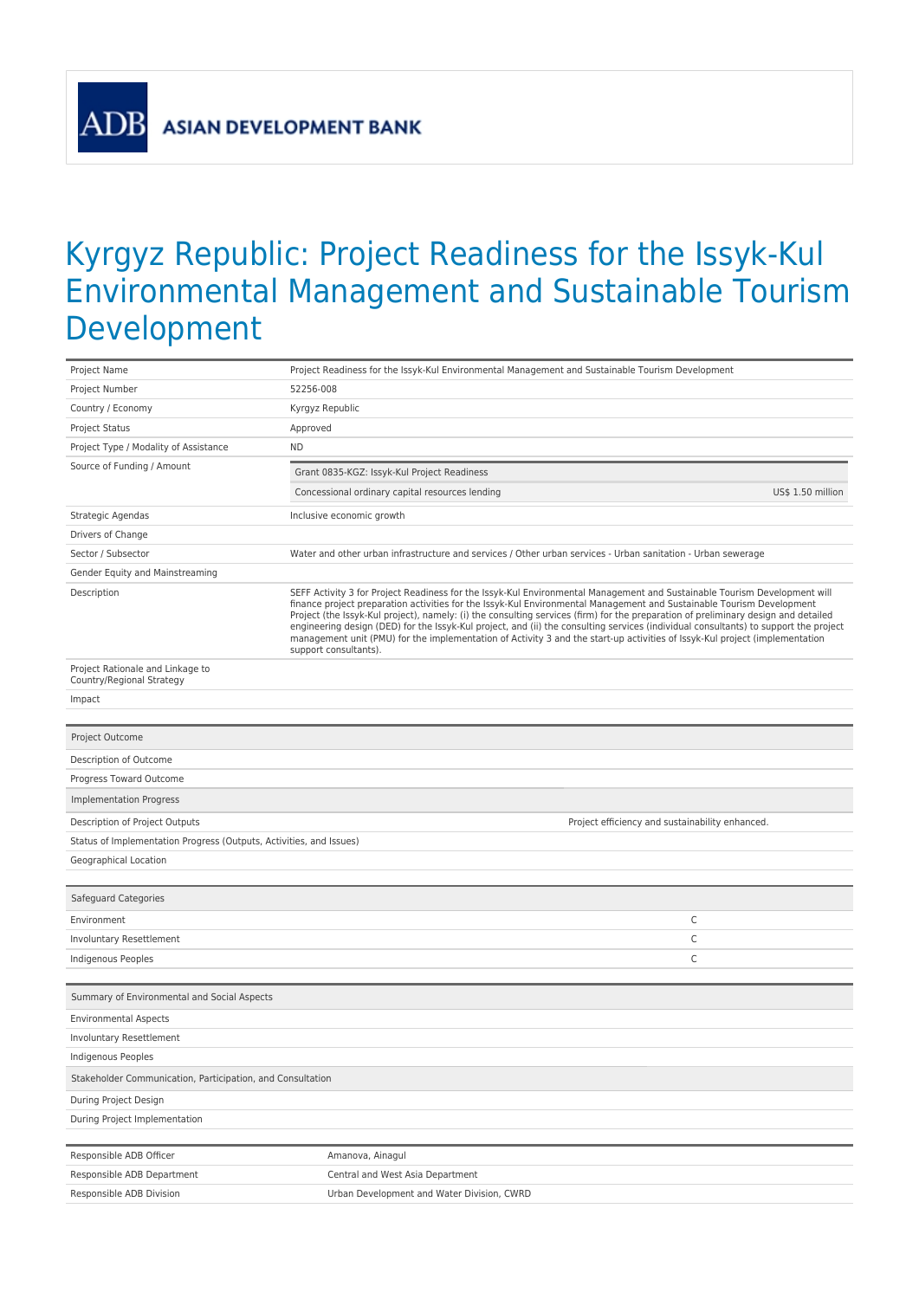**ASIAN DEVELOPMENT BANK** 

**AD** 

## Kyrgyz Republic: Project Readiness for the Issyk-Kul Environmental Management and Sustainable Tourism Development

| Project Name                                                        | Project Readiness for the Issyk-Kul Environmental Management and Sustainable Tourism Development                                                                                                                                                                                                                                                                                                                                                                                                                                                                                                                                                                                         |                   |  |
|---------------------------------------------------------------------|------------------------------------------------------------------------------------------------------------------------------------------------------------------------------------------------------------------------------------------------------------------------------------------------------------------------------------------------------------------------------------------------------------------------------------------------------------------------------------------------------------------------------------------------------------------------------------------------------------------------------------------------------------------------------------------|-------------------|--|
| Project Number                                                      | 52256-008                                                                                                                                                                                                                                                                                                                                                                                                                                                                                                                                                                                                                                                                                |                   |  |
| Country / Economy                                                   | Kyrgyz Republic                                                                                                                                                                                                                                                                                                                                                                                                                                                                                                                                                                                                                                                                          |                   |  |
| Project Status                                                      | Approved                                                                                                                                                                                                                                                                                                                                                                                                                                                                                                                                                                                                                                                                                 |                   |  |
| Project Type / Modality of Assistance                               | <b>ND</b>                                                                                                                                                                                                                                                                                                                                                                                                                                                                                                                                                                                                                                                                                |                   |  |
| Source of Funding / Amount                                          | Grant 0835-KGZ: Issyk-Kul Project Readiness                                                                                                                                                                                                                                                                                                                                                                                                                                                                                                                                                                                                                                              |                   |  |
|                                                                     | Concessional ordinary capital resources lending                                                                                                                                                                                                                                                                                                                                                                                                                                                                                                                                                                                                                                          | US\$ 1.50 million |  |
| Strategic Agendas                                                   | Inclusive economic growth                                                                                                                                                                                                                                                                                                                                                                                                                                                                                                                                                                                                                                                                |                   |  |
| Drivers of Change                                                   |                                                                                                                                                                                                                                                                                                                                                                                                                                                                                                                                                                                                                                                                                          |                   |  |
| Sector / Subsector                                                  | Water and other urban infrastructure and services / Other urban services - Urban sanitation - Urban sewerage                                                                                                                                                                                                                                                                                                                                                                                                                                                                                                                                                                             |                   |  |
| Gender Equity and Mainstreaming                                     |                                                                                                                                                                                                                                                                                                                                                                                                                                                                                                                                                                                                                                                                                          |                   |  |
| Description                                                         | SEFF Activity 3 for Project Readiness for the Issyk-Kul Environmental Management and Sustainable Tourism Development will<br>finance project preparation activities for the Issyk-Kul Environmental Management and Sustainable Tourism Development<br>Project (the Issyk-Kul project), namely: (i) the consulting services (firm) for the preparation of preliminary design and detailed<br>engineering design (DED) for the Issyk-Kul project, and (ii) the consulting services (individual consultants) to support the project<br>management unit (PMU) for the implementation of Activity 3 and the start-up activities of Issyk-Kul project (implementation<br>support consultants). |                   |  |
| Project Rationale and Linkage to<br>Country/Regional Strategy       |                                                                                                                                                                                                                                                                                                                                                                                                                                                                                                                                                                                                                                                                                          |                   |  |
| Impact                                                              |                                                                                                                                                                                                                                                                                                                                                                                                                                                                                                                                                                                                                                                                                          |                   |  |
|                                                                     |                                                                                                                                                                                                                                                                                                                                                                                                                                                                                                                                                                                                                                                                                          |                   |  |
| Project Outcome                                                     |                                                                                                                                                                                                                                                                                                                                                                                                                                                                                                                                                                                                                                                                                          |                   |  |
| Description of Outcome                                              |                                                                                                                                                                                                                                                                                                                                                                                                                                                                                                                                                                                                                                                                                          |                   |  |
| Progress Toward Outcome                                             |                                                                                                                                                                                                                                                                                                                                                                                                                                                                                                                                                                                                                                                                                          |                   |  |
| <b>Implementation Progress</b>                                      |                                                                                                                                                                                                                                                                                                                                                                                                                                                                                                                                                                                                                                                                                          |                   |  |
| Description of Project Outputs                                      | Project efficiency and sustainability enhanced.                                                                                                                                                                                                                                                                                                                                                                                                                                                                                                                                                                                                                                          |                   |  |
| Status of Implementation Progress (Outputs, Activities, and Issues) |                                                                                                                                                                                                                                                                                                                                                                                                                                                                                                                                                                                                                                                                                          |                   |  |
| Geographical Location                                               |                                                                                                                                                                                                                                                                                                                                                                                                                                                                                                                                                                                                                                                                                          |                   |  |
|                                                                     |                                                                                                                                                                                                                                                                                                                                                                                                                                                                                                                                                                                                                                                                                          |                   |  |
| Safeguard Categories                                                |                                                                                                                                                                                                                                                                                                                                                                                                                                                                                                                                                                                                                                                                                          |                   |  |
| Environment                                                         |                                                                                                                                                                                                                                                                                                                                                                                                                                                                                                                                                                                                                                                                                          | C                 |  |
| Involuntary Resettlement                                            |                                                                                                                                                                                                                                                                                                                                                                                                                                                                                                                                                                                                                                                                                          | C                 |  |
| Indigenous Peoples                                                  |                                                                                                                                                                                                                                                                                                                                                                                                                                                                                                                                                                                                                                                                                          | $\mathsf C$       |  |
| Summary of Environmental and Social Aspects                         |                                                                                                                                                                                                                                                                                                                                                                                                                                                                                                                                                                                                                                                                                          |                   |  |
| <b>Environmental Aspects</b>                                        |                                                                                                                                                                                                                                                                                                                                                                                                                                                                                                                                                                                                                                                                                          |                   |  |
| Involuntary Resettlement                                            |                                                                                                                                                                                                                                                                                                                                                                                                                                                                                                                                                                                                                                                                                          |                   |  |
| Indigenous Peoples                                                  |                                                                                                                                                                                                                                                                                                                                                                                                                                                                                                                                                                                                                                                                                          |                   |  |
| Stakeholder Communication, Participation, and Consultation          |                                                                                                                                                                                                                                                                                                                                                                                                                                                                                                                                                                                                                                                                                          |                   |  |
| During Project Design                                               |                                                                                                                                                                                                                                                                                                                                                                                                                                                                                                                                                                                                                                                                                          |                   |  |
| During Project Implementation                                       |                                                                                                                                                                                                                                                                                                                                                                                                                                                                                                                                                                                                                                                                                          |                   |  |
|                                                                     |                                                                                                                                                                                                                                                                                                                                                                                                                                                                                                                                                                                                                                                                                          |                   |  |
| Responsible ADB Officer                                             | Amanova, Ainagul                                                                                                                                                                                                                                                                                                                                                                                                                                                                                                                                                                                                                                                                         |                   |  |
| Responsible ADB Department                                          | Central and West Asia Department                                                                                                                                                                                                                                                                                                                                                                                                                                                                                                                                                                                                                                                         |                   |  |
| Responsible ADB Division                                            | Urban Development and Water Division, CWRD                                                                                                                                                                                                                                                                                                                                                                                                                                                                                                                                                                                                                                               |                   |  |